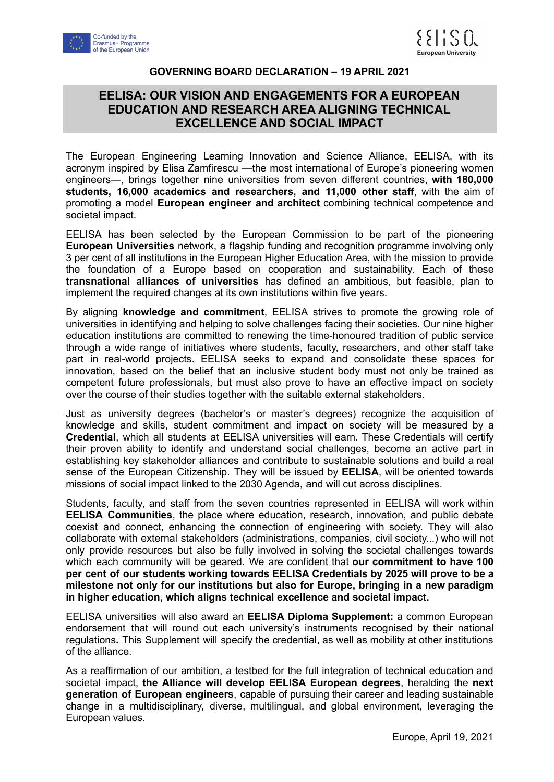



## **GOVERNING BOARD DECLARATION – 19 APRIL 2021**

## **EELISA: OUR VISION AND ENGAGEMENTS FOR A EUROPEAN EDUCATION AND RESEARCH AREA ALIGNING TECHNICAL EXCELLENCE AND SOCIAL IMPACT**

The European Engineering Learning Innovation and Science Alliance, EELISA, with its acronym inspired by Elisa Zamfirescu —the most international of Europe's pioneering women engineers—, brings together nine universities from seven different countries, **with 180,000 students, 16,000 academics and researchers, and 11,000 other staff**, with the aim of promoting a model **European engineer and architect** combining technical competence and societal impact.

EELISA has been selected by the European Commission to be part of the pioneering **European Universities** network, a flagship funding and recognition programme involving only 3 per cent of all institutions in the European Higher Education Area, with the mission to provide the foundation of a Europe based on cooperation and sustainability. Each of these **transnational alliances of universities** has defined an ambitious, but feasible, plan to implement the required changes at its own institutions within five years.

By aligning **knowledge and commitment**, EELISA strives to promote the growing role of universities in identifying and helping to solve challenges facing their societies. Our nine higher education institutions are committed to renewing the time-honoured tradition of public service through a wide range of initiatives where students, faculty, researchers, and other staff take part in real-world projects. EELISA seeks to expand and consolidate these spaces for innovation, based on the belief that an inclusive student body must not only be trained as competent future professionals, but must also prove to have an effective impact on society over the course of their studies together with the suitable external stakeholders.

Just as university degrees (bachelor's or master's degrees) recognize the acquisition of knowledge and skills, student commitment and impact on society will be measured by a **Credential**, which all students at EELISA universities will earn. These Credentials will certify their proven ability to identify and understand social challenges, become an active part in establishing key stakeholder alliances and contribute to sustainable solutions and build a real sense of the European Citizenship. They will be issued by **EELISA**, will be oriented towards missions of social impact linked to the 2030 Agenda, and will cut across disciplines.

Students, faculty, and staff from the seven countries represented in EELISA will work within **EELISA Communities**, the place where education, research, innovation, and public debate coexist and connect, enhancing the connection of engineering with society. They will also collaborate with external stakeholders (administrations, companies, civil society...) who will not only provide resources but also be fully involved in solving the societal challenges towards which each community will be geared. We are confident that **our commitment to have 100 per cent of our students working towards EELISA Credentials by 2025 will prove to be a milestone not only for our institutions but also for Europe, bringing in a new paradigm in higher education, which aligns technical excellence and societal impact.**

EELISA universities will also award an **EELISA Diploma Supplement:** a common European endorsement that will round out each university's instruments recognised by their national regulations**.** This Supplement will specify the credential, as well as mobility at other institutions of the alliance.

As a reaffirmation of our ambition, a testbed for the full integration of technical education and societal impact, **the Alliance will develop EELISA European degrees**, heralding the **next generation of European engineers**, capable of pursuing their career and leading sustainable change in a multidisciplinary, diverse, multilingual, and global environment, leveraging the European values.